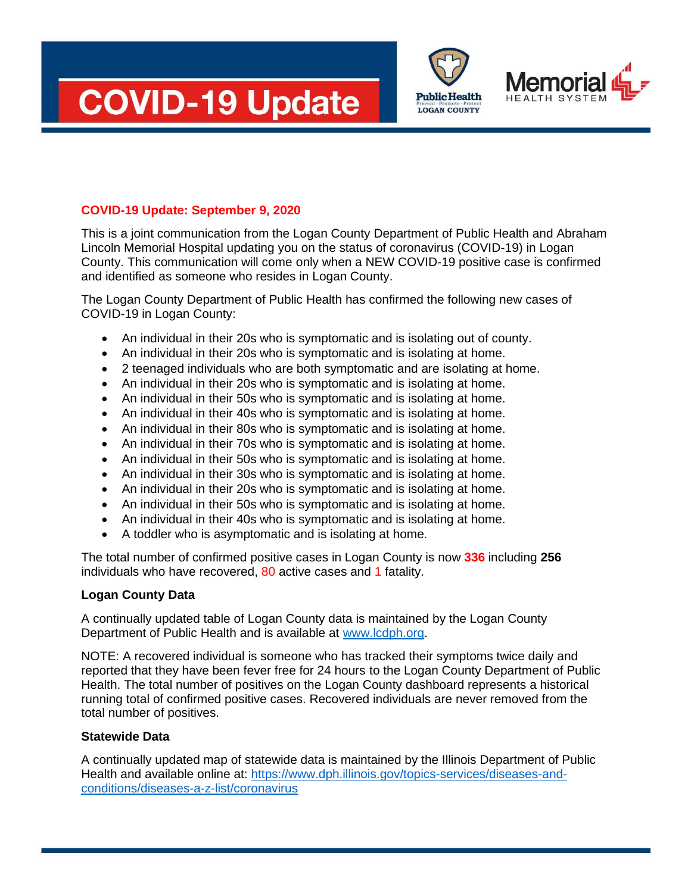





# **COVID-19 Update: September 9, 2020**

This is a joint communication from the Logan County Department of Public Health and Abraham Lincoln Memorial Hospital updating you on the status of coronavirus (COVID-19) in Logan County. This communication will come only when a NEW COVID-19 positive case is confirmed and identified as someone who resides in Logan County.

The Logan County Department of Public Health has confirmed the following new cases of COVID-19 in Logan County:

- An individual in their 20s who is symptomatic and is isolating out of county.
- An individual in their 20s who is symptomatic and is isolating at home.
- 2 teenaged individuals who are both symptomatic and are isolating at home.
- An individual in their 20s who is symptomatic and is isolating at home.
- An individual in their 50s who is symptomatic and is isolating at home.
- An individual in their 40s who is symptomatic and is isolating at home.
- An individual in their 80s who is symptomatic and is isolating at home.
- An individual in their 70s who is symptomatic and is isolating at home.
- An individual in their 50s who is symptomatic and is isolating at home.
- An individual in their 30s who is symptomatic and is isolating at home.
- An individual in their 20s who is symptomatic and is isolating at home.
- An individual in their 50s who is symptomatic and is isolating at home.
- An individual in their 40s who is symptomatic and is isolating at home.
- A toddler who is asymptomatic and is isolating at home.

The total number of confirmed positive cases in Logan County is now **336** including **256** individuals who have recovered, 80 active cases and 1 fatality.

## **Logan County Data**

A continually updated table of Logan County data is maintained by the Logan County Department of Public Health and is available at [www.lcdph.org.](http://www.lcdph.org/)

NOTE: A recovered individual is someone who has tracked their symptoms twice daily and reported that they have been fever free for 24 hours to the Logan County Department of Public Health. The total number of positives on the Logan County dashboard represents a historical running total of confirmed positive cases. Recovered individuals are never removed from the total number of positives.

## **Statewide Data**

A continually updated map of statewide data is maintained by the Illinois Department of Public Health and available online at: [https://www.dph.illinois.gov/topics-services/diseases-and](https://www.dph.illinois.gov/topics-services/diseases-and-conditions/diseases-a-z-list/coronavirus)[conditions/diseases-a-z-list/coronavirus](https://www.dph.illinois.gov/topics-services/diseases-and-conditions/diseases-a-z-list/coronavirus)